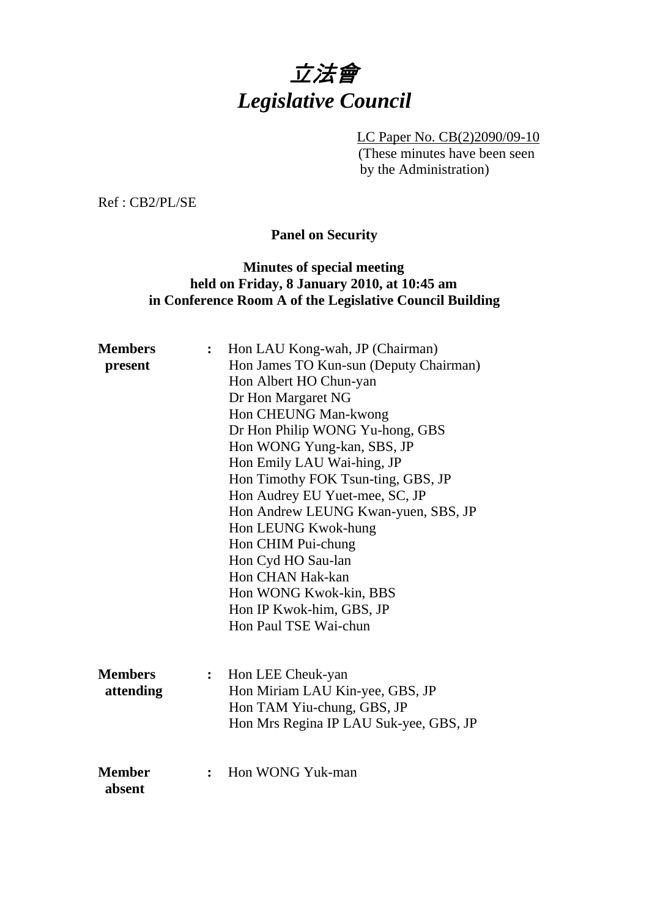# 立法會 *Legislative Council*

LC Paper No. CB(2)2090/09-10 (These minutes have been seen by the Administration)

Ref : CB2/PL/SE

## **Panel on Security**

### **Minutes of special meeting held on Friday, 8 January 2010, at 10:45 am in Conference Room A of the Legislative Council Building**

| <b>Members</b><br>present   | $\ddot{\cdot}$ | Hon LAU Kong-wah, JP (Chairman)<br>Hon James TO Kun-sun (Deputy Chairman)<br>Hon Albert HO Chun-yan<br>Dr Hon Margaret NG<br>Hon CHEUNG Man-kwong<br>Dr Hon Philip WONG Yu-hong, GBS |
|-----------------------------|----------------|--------------------------------------------------------------------------------------------------------------------------------------------------------------------------------------|
|                             |                | Hon WONG Yung-kan, SBS, JP<br>Hon Emily LAU Wai-hing, JP<br>Hon Timothy FOK Tsun-ting, GBS, JP                                                                                       |
|                             |                | Hon Audrey EU Yuet-mee, SC, JP<br>Hon Andrew LEUNG Kwan-yuen, SBS, JP                                                                                                                |
|                             |                | Hon LEUNG Kwok-hung                                                                                                                                                                  |
|                             |                | Hon CHIM Pui-chung<br>Hon Cyd HO Sau-lan                                                                                                                                             |
|                             |                | Hon CHAN Hak-kan<br>Hon WONG Kwok-kin, BBS                                                                                                                                           |
|                             |                | Hon IP Kwok-him, GBS, JP                                                                                                                                                             |
|                             |                | Hon Paul TSE Wai-chun                                                                                                                                                                |
| <b>Members</b><br>attending | :              | Hon LEE Cheuk-yan<br>Hon Miriam LAU Kin-yee, GBS, JP<br>Hon TAM Yiu-chung, GBS, JP<br>Hon Mrs Regina IP LAU Suk-yee, GBS, JP                                                         |
| <b>Member</b><br>absent     | $\ddot{\cdot}$ | Hon WONG Yuk-man                                                                                                                                                                     |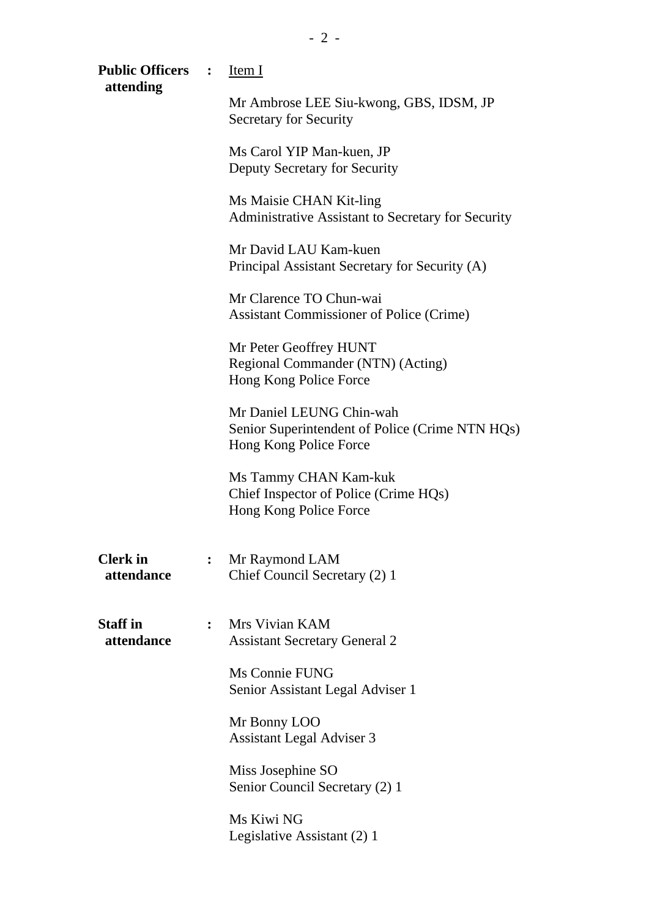| Public Officers : Item I<br>attending |                |                                                                                                       |
|---------------------------------------|----------------|-------------------------------------------------------------------------------------------------------|
|                                       |                | Mr Ambrose LEE Siu-kwong, GBS, IDSM, JP<br><b>Secretary for Security</b>                              |
|                                       |                | Ms Carol YIP Man-kuen, JP<br>Deputy Secretary for Security                                            |
|                                       |                | Ms Maisie CHAN Kit-ling<br>Administrative Assistant to Secretary for Security                         |
|                                       |                | Mr David LAU Kam-kuen<br>Principal Assistant Secretary for Security (A)                               |
|                                       |                | Mr Clarence TO Chun-wai<br><b>Assistant Commissioner of Police (Crime)</b>                            |
|                                       |                | Mr Peter Geoffrey HUNT<br>Regional Commander (NTN) (Acting)<br>Hong Kong Police Force                 |
|                                       |                | Mr Daniel LEUNG Chin-wah<br>Senior Superintendent of Police (Crime NTN HQs)<br>Hong Kong Police Force |
|                                       |                | Ms Tammy CHAN Kam-kuk<br>Chief Inspector of Police (Crime HQs)<br>Hong Kong Police Force              |
| <b>Clerk</b> in<br>attendance         | $\ddot{\cdot}$ | Mr Raymond LAM<br>Chief Council Secretary (2) 1                                                       |
| <b>Staff in</b><br>attendance         | $\ddot{\cdot}$ | Mrs Vivian KAM<br><b>Assistant Secretary General 2</b>                                                |
|                                       |                | Ms Connie FUNG<br>Senior Assistant Legal Adviser 1                                                    |
|                                       |                | Mr Bonny LOO<br><b>Assistant Legal Adviser 3</b>                                                      |
|                                       |                | Miss Josephine SO<br>Senior Council Secretary (2) 1                                                   |
|                                       |                | Ms Kiwi NG<br>Legislative Assistant (2) 1                                                             |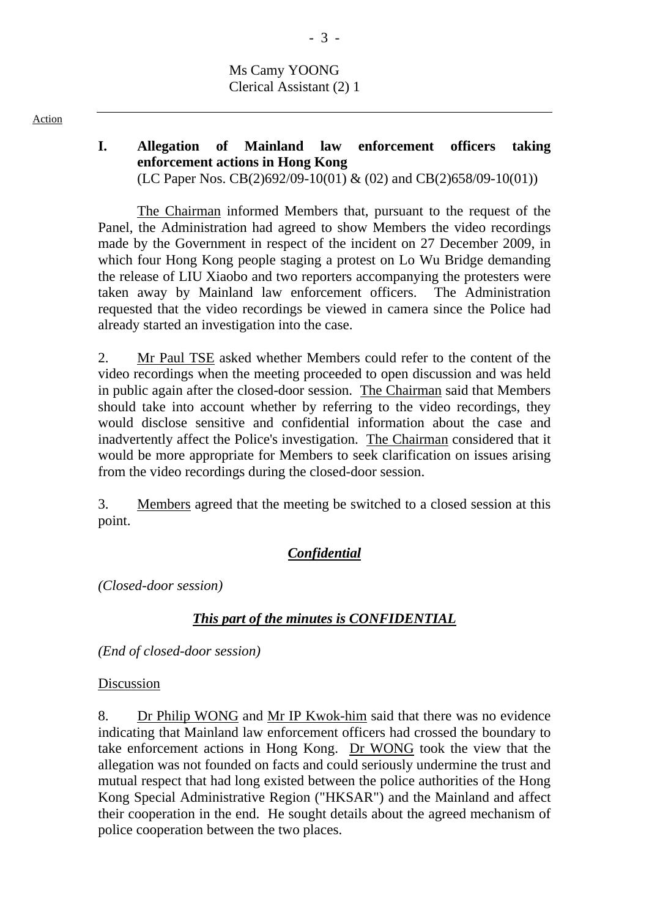Ms Camy YOONG Clerical Assistant (2) 1

# **I. Allegation of Mainland law enforcement officers taking enforcement actions in Hong Kong**

(LC Paper Nos. CB(2)692/09-10(01) & (02) and CB(2)658/09-10(01))

The Chairman informed Members that, pursuant to the request of the Panel, the Administration had agreed to show Members the video recordings made by the Government in respect of the incident on 27 December 2009, in which four Hong Kong people staging a protest on Lo Wu Bridge demanding the release of LIU Xiaobo and two reporters accompanying the protesters were taken away by Mainland law enforcement officers. The Administration requested that the video recordings be viewed in camera since the Police had already started an investigation into the case.

2. Mr Paul TSE asked whether Members could refer to the content of the video recordings when the meeting proceeded to open discussion and was held in public again after the closed-door session. The Chairman said that Members should take into account whether by referring to the video recordings, they would disclose sensitive and confidential information about the case and inadvertently affect the Police's investigation. The Chairman considered that it would be more appropriate for Members to seek clarification on issues arising from the video recordings during the closed-door session.

3. Members agreed that the meeting be switched to a closed session at this point.

### *Confidential*

*(Closed-door session)* 

### *This part of the minutes is CONFIDENTIAL*

*(End of closed-door session)* 

#### Discussion

8. Dr Philip WONG and Mr IP Kwok-him said that there was no evidence indicating that Mainland law enforcement officers had crossed the boundary to take enforcement actions in Hong Kong. Dr WONG took the view that the allegation was not founded on facts and could seriously undermine the trust and mutual respect that had long existed between the police authorities of the Hong Kong Special Administrative Region ("HKSAR") and the Mainland and affect their cooperation in the end. He sought details about the agreed mechanism of police cooperation between the two places.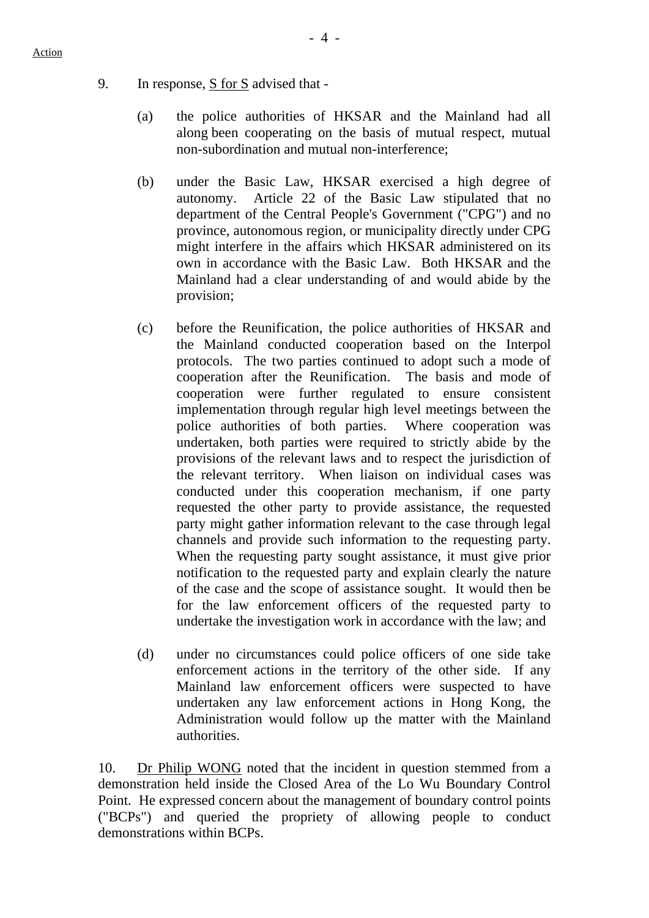- 9. In response, S for S advised that
	- (a) the police authorities of HKSAR and the Mainland had all along been cooperating on the basis of mutual respect, mutual non-subordination and mutual non-interference;
	- (b) under the Basic Law, HKSAR exercised a high degree of autonomy. Article 22 of the Basic Law stipulated that no department of the Central People's Government ("CPG") and no province, autonomous region, or municipality directly under CPG might interfere in the affairs which HKSAR administered on its own in accordance with the Basic Law. Both HKSAR and the Mainland had a clear understanding of and would abide by the provision;
	- (c) before the Reunification, the police authorities of HKSAR and the Mainland conducted cooperation based on the Interpol protocols. The two parties continued to adopt such a mode of cooperation after the Reunification. The basis and mode of cooperation were further regulated to ensure consistent implementation through regular high level meetings between the police authorities of both parties. Where cooperation was undertaken, both parties were required to strictly abide by the provisions of the relevant laws and to respect the jurisdiction of the relevant territory. When liaison on individual cases was conducted under this cooperation mechanism, if one party requested the other party to provide assistance, the requested party might gather information relevant to the case through legal channels and provide such information to the requesting party. When the requesting party sought assistance, it must give prior notification to the requested party and explain clearly the nature of the case and the scope of assistance sought. It would then be for the law enforcement officers of the requested party to undertake the investigation work in accordance with the law; and
	- (d) under no circumstances could police officers of one side take enforcement actions in the territory of the other side. If any Mainland law enforcement officers were suspected to have undertaken any law enforcement actions in Hong Kong, the Administration would follow up the matter with the Mainland authorities.

10. Dr Philip WONG noted that the incident in question stemmed from a demonstration held inside the Closed Area of the Lo Wu Boundary Control Point. He expressed concern about the management of boundary control points ("BCPs") and queried the propriety of allowing people to conduct demonstrations within BCPs.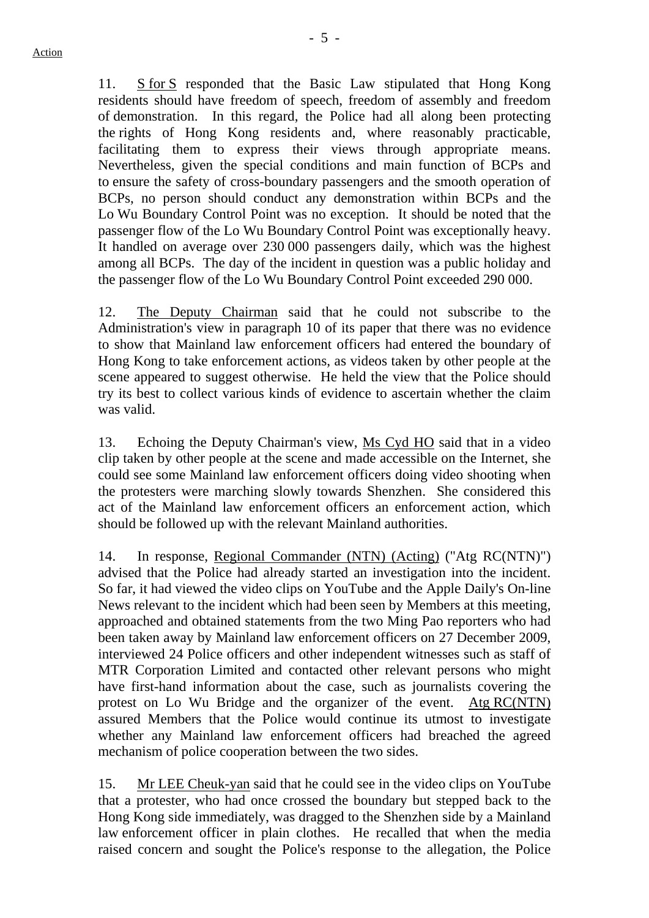- 5 -

11. S for S responded that the Basic Law stipulated that Hong Kong residents should have freedom of speech, freedom of assembly and freedom of demonstration. In this regard, the Police had all along been protecting the rights of Hong Kong residents and, where reasonably practicable, facilitating them to express their views through appropriate means. Nevertheless, given the special conditions and main function of BCPs and to ensure the safety of cross-boundary passengers and the smooth operation of BCPs, no person should conduct any demonstration within BCPs and the Lo Wu Boundary Control Point was no exception. It should be noted that the passenger flow of the Lo Wu Boundary Control Point was exceptionally heavy. It handled on average over 230 000 passengers daily, which was the highest among all BCPs. The day of the incident in question was a public holiday and the passenger flow of the Lo Wu Boundary Control Point exceeded 290 000.

12. The Deputy Chairman said that he could not subscribe to the Administration's view in paragraph 10 of its paper that there was no evidence to show that Mainland law enforcement officers had entered the boundary of Hong Kong to take enforcement actions, as videos taken by other people at the scene appeared to suggest otherwise. He held the view that the Police should try its best to collect various kinds of evidence to ascertain whether the claim was valid.

13. Echoing the Deputy Chairman's view, Ms Cyd HO said that in a video clip taken by other people at the scene and made accessible on the Internet, she could see some Mainland law enforcement officers doing video shooting when the protesters were marching slowly towards Shenzhen. She considered this act of the Mainland law enforcement officers an enforcement action, which should be followed up with the relevant Mainland authorities.

14. In response, Regional Commander (NTN) (Acting) ("Atg RC(NTN)") advised that the Police had already started an investigation into the incident. So far, it had viewed the video clips on YouTube and the Apple Daily's On-line News relevant to the incident which had been seen by Members at this meeting, approached and obtained statements from the two Ming Pao reporters who had been taken away by Mainland law enforcement officers on 27 December 2009, interviewed 24 Police officers and other independent witnesses such as staff of MTR Corporation Limited and contacted other relevant persons who might have first-hand information about the case, such as journalists covering the protest on Lo Wu Bridge and the organizer of the event. Atg RC(NTN) assured Members that the Police would continue its utmost to investigate whether any Mainland law enforcement officers had breached the agreed mechanism of police cooperation between the two sides.

15. Mr LEE Cheuk-yan said that he could see in the video clips on YouTube that a protester, who had once crossed the boundary but stepped back to the Hong Kong side immediately, was dragged to the Shenzhen side by a Mainland law enforcement officer in plain clothes. He recalled that when the media raised concern and sought the Police's response to the allegation, the Police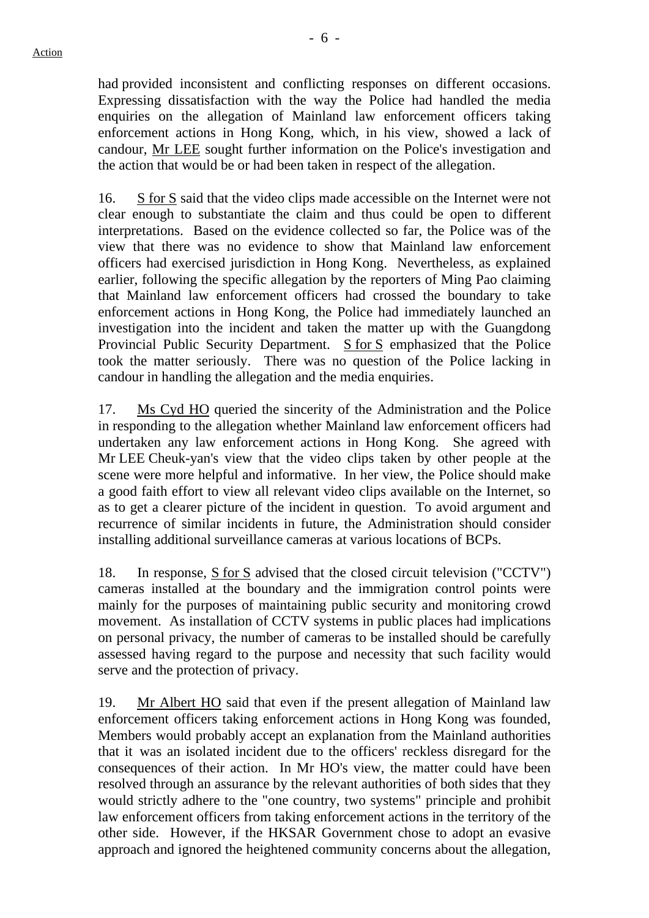had provided inconsistent and conflicting responses on different occasions. Expressing dissatisfaction with the way the Police had handled the media enquiries on the allegation of Mainland law enforcement officers taking enforcement actions in Hong Kong, which, in his view, showed a lack of candour, Mr LEE sought further information on the Police's investigation and the action that would be or had been taken in respect of the allegation.

16. S for S said that the video clips made accessible on the Internet were not clear enough to substantiate the claim and thus could be open to different interpretations. Based on the evidence collected so far, the Police was of the view that there was no evidence to show that Mainland law enforcement officers had exercised jurisdiction in Hong Kong. Nevertheless, as explained earlier, following the specific allegation by the reporters of Ming Pao claiming that Mainland law enforcement officers had crossed the boundary to take enforcement actions in Hong Kong, the Police had immediately launched an investigation into the incident and taken the matter up with the Guangdong Provincial Public Security Department. S for S emphasized that the Police took the matter seriously. There was no question of the Police lacking in candour in handling the allegation and the media enquiries.

17. Ms Cyd HO queried the sincerity of the Administration and the Police in responding to the allegation whether Mainland law enforcement officers had undertaken any law enforcement actions in Hong Kong. She agreed with Mr LEE Cheuk-yan's view that the video clips taken by other people at the scene were more helpful and informative. In her view, the Police should make a good faith effort to view all relevant video clips available on the Internet, so as to get a clearer picture of the incident in question. To avoid argument and recurrence of similar incidents in future, the Administration should consider installing additional surveillance cameras at various locations of BCPs.

18. In response, S for S advised that the closed circuit television ("CCTV") cameras installed at the boundary and the immigration control points were mainly for the purposes of maintaining public security and monitoring crowd movement. As installation of CCTV systems in public places had implications on personal privacy, the number of cameras to be installed should be carefully assessed having regard to the purpose and necessity that such facility would serve and the protection of privacy.

19. Mr Albert HO said that even if the present allegation of Mainland law enforcement officers taking enforcement actions in Hong Kong was founded, Members would probably accept an explanation from the Mainland authorities that it was an isolated incident due to the officers' reckless disregard for the consequences of their action. In Mr HO's view, the matter could have been resolved through an assurance by the relevant authorities of both sides that they would strictly adhere to the "one country, two systems" principle and prohibit law enforcement officers from taking enforcement actions in the territory of the other side. However, if the HKSAR Government chose to adopt an evasive approach and ignored the heightened community concerns about the allegation,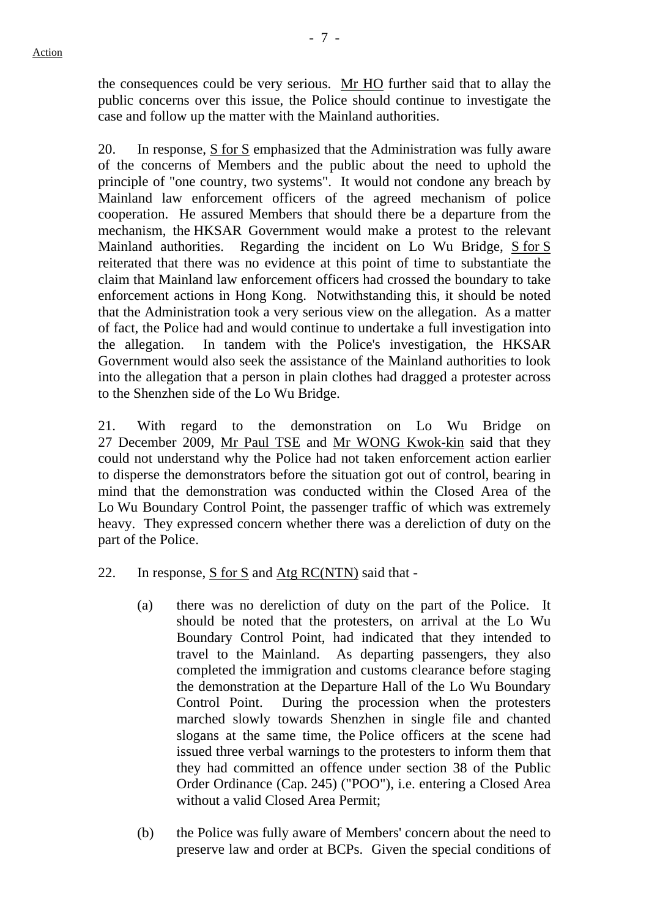the consequences could be very serious. Mr HO further said that to allay the public concerns over this issue, the Police should continue to investigate the case and follow up the matter with the Mainland authorities.

20. In response, S for S emphasized that the Administration was fully aware of the concerns of Members and the public about the need to uphold the principle of "one country, two systems". It would not condone any breach by Mainland law enforcement officers of the agreed mechanism of police cooperation. He assured Members that should there be a departure from the mechanism, the HKSAR Government would make a protest to the relevant Mainland authorities. Regarding the incident on Lo Wu Bridge, S for S reiterated that there was no evidence at this point of time to substantiate the claim that Mainland law enforcement officers had crossed the boundary to take enforcement actions in Hong Kong. Notwithstanding this, it should be noted that the Administration took a very serious view on the allegation. As a matter of fact, the Police had and would continue to undertake a full investigation into the allegation. In tandem with the Police's investigation, the HKSAR Government would also seek the assistance of the Mainland authorities to look into the allegation that a person in plain clothes had dragged a protester across to the Shenzhen side of the Lo Wu Bridge.

21. With regard to the demonstration on Lo Wu Bridge on 27 December 2009, Mr Paul TSE and Mr WONG Kwok-kin said that they could not understand why the Police had not taken enforcement action earlier to disperse the demonstrators before the situation got out of control, bearing in mind that the demonstration was conducted within the Closed Area of the Lo Wu Boundary Control Point, the passenger traffic of which was extremely heavy. They expressed concern whether there was a dereliction of duty on the part of the Police.

- 22. In response, S for S and Atg RC(NTN) said that
	- (a) there was no dereliction of duty on the part of the Police. It should be noted that the protesters, on arrival at the Lo Wu Boundary Control Point, had indicated that they intended to travel to the Mainland. As departing passengers, they also completed the immigration and customs clearance before staging the demonstration at the Departure Hall of the Lo Wu Boundary Control Point. During the procession when the protesters marched slowly towards Shenzhen in single file and chanted slogans at the same time, the Police officers at the scene had issued three verbal warnings to the protesters to inform them that they had committed an offence under section 38 of the Public Order Ordinance (Cap. 245) ("POO"), i.e. entering a Closed Area without a valid Closed Area Permit;
	- (b) the Police was fully aware of Members' concern about the need to preserve law and order at BCPs. Given the special conditions of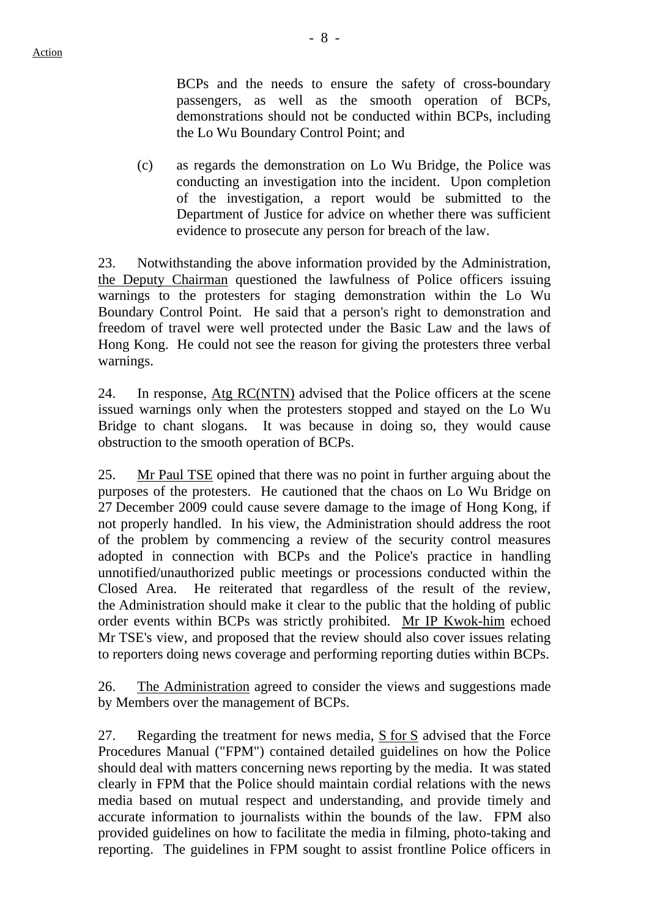BCPs and the needs to ensure the safety of cross-boundary passengers, as well as the smooth operation of BCPs, demonstrations should not be conducted within BCPs, including the Lo Wu Boundary Control Point; and

(c) as regards the demonstration on Lo Wu Bridge, the Police was conducting an investigation into the incident. Upon completion of the investigation, a report would be submitted to the Department of Justice for advice on whether there was sufficient evidence to prosecute any person for breach of the law.

23. Notwithstanding the above information provided by the Administration, the Deputy Chairman questioned the lawfulness of Police officers issuing warnings to the protesters for staging demonstration within the Lo Wu Boundary Control Point. He said that a person's right to demonstration and freedom of travel were well protected under the Basic Law and the laws of Hong Kong. He could not see the reason for giving the protesters three verbal warnings.

24. In response, Atg RC(NTN) advised that the Police officers at the scene issued warnings only when the protesters stopped and stayed on the Lo Wu Bridge to chant slogans. It was because in doing so, they would cause obstruction to the smooth operation of BCPs.

25. Mr Paul TSE opined that there was no point in further arguing about the purposes of the protesters. He cautioned that the chaos on Lo Wu Bridge on 27 December 2009 could cause severe damage to the image of Hong Kong, if not properly handled. In his view, the Administration should address the root of the problem by commencing a review of the security control measures adopted in connection with BCPs and the Police's practice in handling unnotified/unauthorized public meetings or processions conducted within the Closed Area. He reiterated that regardless of the result of the review, the Administration should make it clear to the public that the holding of public order events within BCPs was strictly prohibited. Mr IP Kwok-him echoed Mr TSE's view, and proposed that the review should also cover issues relating to reporters doing news coverage and performing reporting duties within BCPs.

26. The Administration agreed to consider the views and suggestions made by Members over the management of BCPs.

27. Regarding the treatment for news media, S for S advised that the Force Procedures Manual ("FPM") contained detailed guidelines on how the Police should deal with matters concerning news reporting by the media. It was stated clearly in FPM that the Police should maintain cordial relations with the news media based on mutual respect and understanding, and provide timely and accurate information to journalists within the bounds of the law. FPM also provided guidelines on how to facilitate the media in filming, photo-taking and reporting. The guidelines in FPM sought to assist frontline Police officers in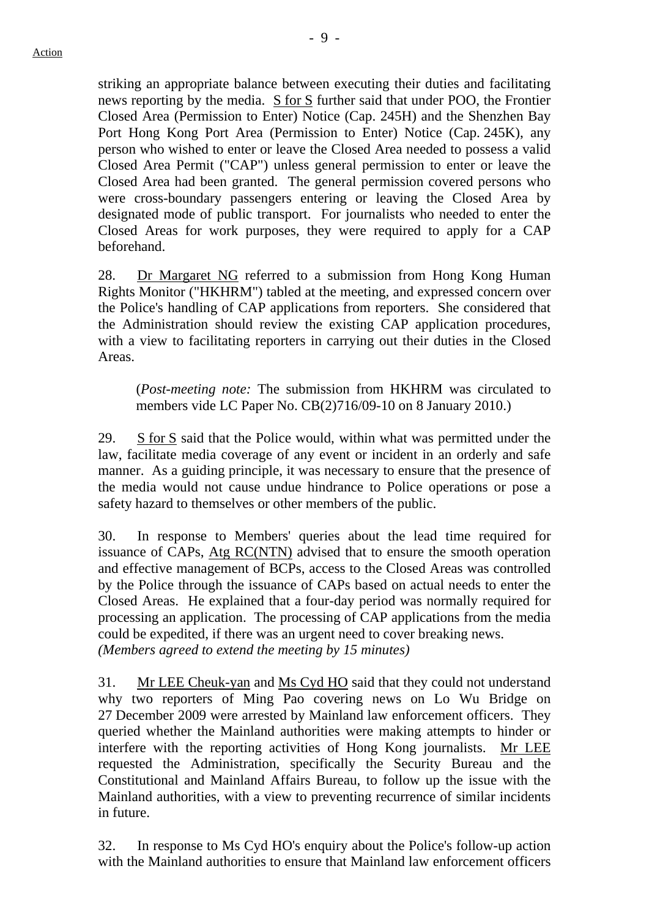striking an appropriate balance between executing their duties and facilitating news reporting by the media. S for S further said that under POO, the Frontier Closed Area (Permission to Enter) Notice (Cap. 245H) and the Shenzhen Bay Port Hong Kong Port Area (Permission to Enter) Notice (Cap. 245K), any person who wished to enter or leave the Closed Area needed to possess a valid Closed Area Permit ("CAP") unless general permission to enter or leave the Closed Area had been granted. The general permission covered persons who were cross-boundary passengers entering or leaving the Closed Area by designated mode of public transport. For journalists who needed to enter the Closed Areas for work purposes, they were required to apply for a CAP beforehand.

28. Dr Margaret NG referred to a submission from Hong Kong Human Rights Monitor ("HKHRM") tabled at the meeting, and expressed concern over the Police's handling of CAP applications from reporters. She considered that the Administration should review the existing CAP application procedures, with a view to facilitating reporters in carrying out their duties in the Closed Areas.

(*Post-meeting note:* The submission from HKHRM was circulated to members vide LC Paper No. CB(2)716/09-10 on 8 January 2010.)

29. S for S said that the Police would, within what was permitted under the law, facilitate media coverage of any event or incident in an orderly and safe manner. As a guiding principle, it was necessary to ensure that the presence of the media would not cause undue hindrance to Police operations or pose a safety hazard to themselves or other members of the public.

30. In response to Members' queries about the lead time required for issuance of CAPs, Atg RC(NTN) advised that to ensure the smooth operation and effective management of BCPs, access to the Closed Areas was controlled by the Police through the issuance of CAPs based on actual needs to enter the Closed Areas. He explained that a four-day period was normally required for processing an application. The processing of CAP applications from the media could be expedited, if there was an urgent need to cover breaking news. *(Members agreed to extend the meeting by 15 minutes)* 

31. Mr LEE Cheuk-yan and Ms Cyd HO said that they could not understand why two reporters of Ming Pao covering news on Lo Wu Bridge on 27 December 2009 were arrested by Mainland law enforcement officers. They queried whether the Mainland authorities were making attempts to hinder or interfere with the reporting activities of Hong Kong journalists. Mr LEE requested the Administration, specifically the Security Bureau and the Constitutional and Mainland Affairs Bureau, to follow up the issue with the Mainland authorities, with a view to preventing recurrence of similar incidents in future.

32. In response to Ms Cyd HO's enquiry about the Police's follow-up action with the Mainland authorities to ensure that Mainland law enforcement officers